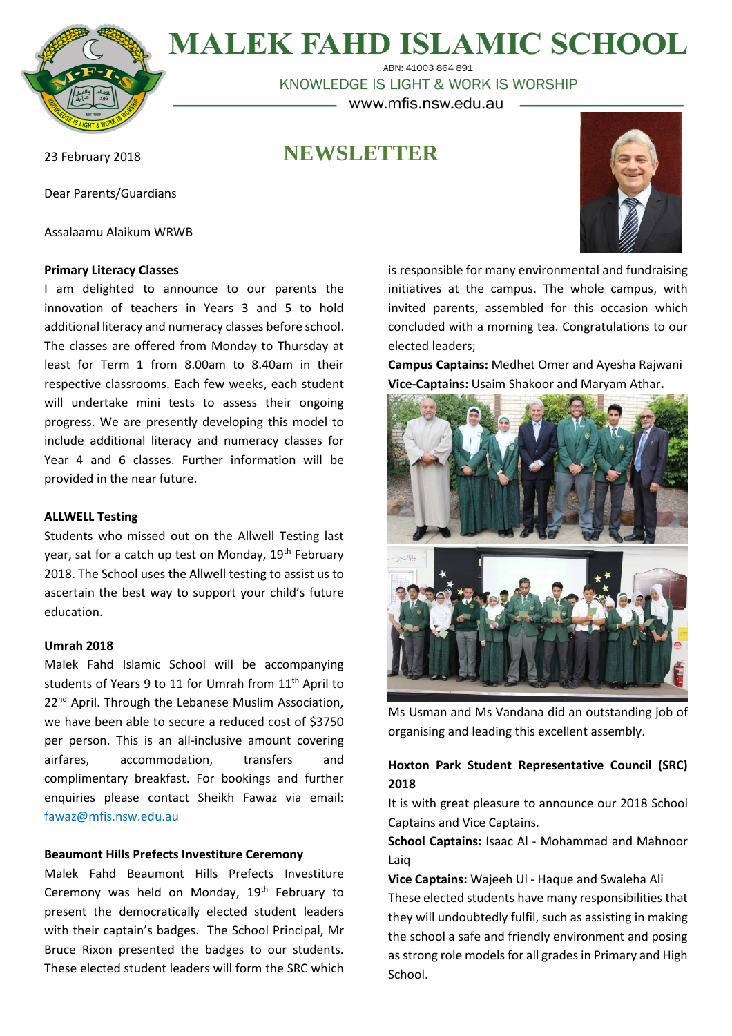

# **MALEK FAHD ISLAMIC SCHOOL**

ABN: 41003 864 891<br>KNOWLEDGE IS LIGHT & WORK IS WORSHIP www.mfis.nsw.edu.au

**NEWSLETTER**

23 February 2018

Dear Parents/Guardians

Assalaamu Alaikum WRWB

## **Primary Literacy Classes**

I am delighted to announce to our parents the innovation of teachers in Years 3 and 5 to hold additional literacy and numeracy classes before school. The classes are offered from Monday to Thursday at least for Term 1 from 8.00am to 8.40am in their respective classrooms. Each few weeks, each student will undertake mini tests to assess their ongoing progress. We are presently developing this model to include additional literacy and numeracy classes for Year 4 and 6 classes. Further information will be provided in the near future.

## **ALLWELL Testing**

Students who missed out on the Allwell Testing last year, sat for a catch up test on Monday, 19<sup>th</sup> February 2018. The School uses the Allwell testing to assist us to ascertain the best way to support your child's future education.

## **Umrah 2018**

Malek Fahd Islamic School will be accompanying students of Years 9 to 11 for Umrah from 11<sup>th</sup> April to 22<sup>nd</sup> April. Through the Lebanese Muslim Association, we have been able to secure a reduced cost of \$3750 per person. This is an all-inclusive amount covering airfares, accommodation, transfers and complimentary breakfast. For bookings and further enquiries please contact Sheikh Fawaz via email: [fawaz@mfis.nsw.edu.au](mailto:fawaz@mfis.nsw.edu.au)

## **Beaumont Hills Prefects Investiture Ceremony**

Malek Fahd Beaumont Hills Prefects Investiture Ceremony was held on Monday,  $19<sup>th</sup>$  February to present the democratically elected student leaders with their captain's badges. The School Principal, Mr Bruce Rixon presented the badges to our students. These elected student leaders will form the SRC which



is responsible for many environmental and fundraising initiatives at the campus. The whole campus, with invited parents, assembled for this occasion which concluded with a morning tea. Congratulations to our elected leaders;

**Campus Captains:** Medhet Omer and Ayesha Rajwani **Vice-Captains:** Usaim Shakoor and Maryam Athar**.**



Ms Usman and Ms Vandana did an outstanding job of organising and leading this excellent assembly.

# **Hoxton Park Student Representative Council (SRC) 2018**

It is with great pleasure to announce our 2018 School Captains and Vice Captains.

## **School Captains:** Isaac Al - Mohammad and Mahnoor Laiq

**Vice Captains:** Wajeeh Ul - Haque and Swaleha Ali These elected students have many responsibilities that they will undoubtedly fulfil, such as assisting in making the school a safe and friendly environment and posing as strong role models for all grades in Primary and High School.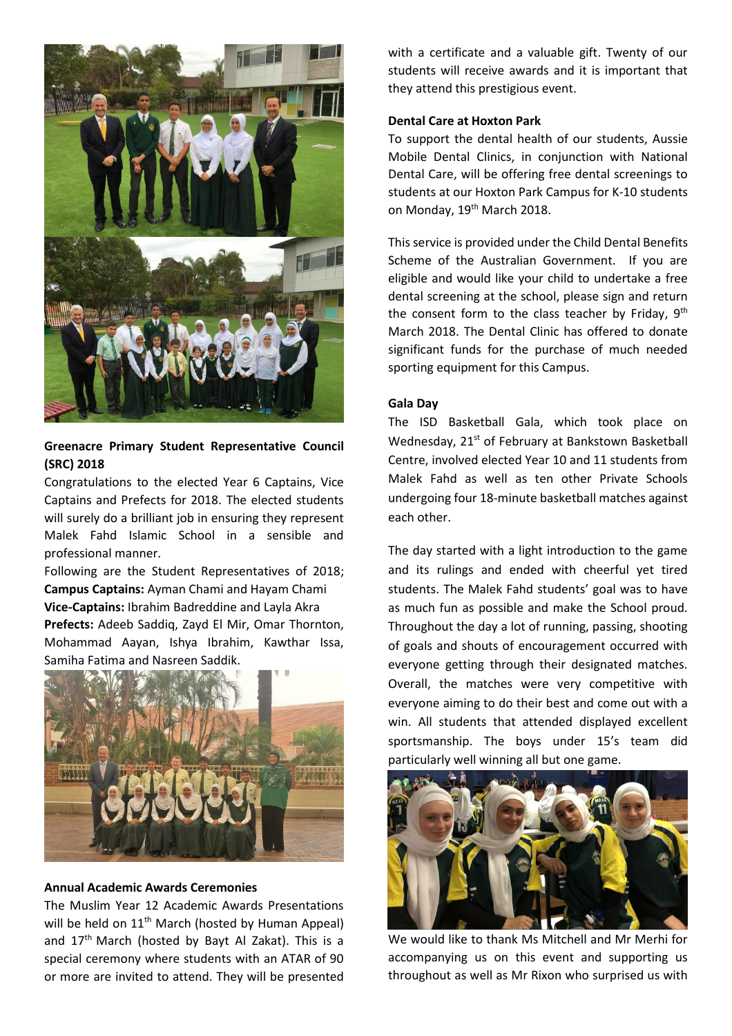

## **Greenacre Primary Student Representative Council (SRC) 2018**

Congratulations to the elected Year 6 Captains, Vice Captains and Prefects for 2018. The elected students will surely do a brilliant job in ensuring they represent Malek Fahd Islamic School in a sensible and professional manner.

Following are the Student Representatives of 2018; **Campus Captains:** Ayman Chami and Hayam Chami **Vice-Captains:** Ibrahim Badreddine and Layla Akra **Prefects:** Adeeb Saddiq, Zayd El Mir, Omar Thornton, Mohammad Aayan, Ishya Ibrahim, Kawthar Issa, Samiha Fatima and Nasreen Saddik.



## **Annual Academic Awards Ceremonies**

The Muslim Year 12 Academic Awards Presentations will be held on 11<sup>th</sup> March (hosted by Human Appeal) and  $17<sup>th</sup>$  March (hosted by Bayt Al Zakat). This is a special ceremony where students with an ATAR of 90 or more are invited to attend. They will be presented with a certificate and a valuable gift. Twenty of our students will receive awards and it is important that they attend this prestigious event.

## **Dental Care at Hoxton Park**

To support the dental health of our students, Aussie Mobile Dental Clinics, in conjunction with National Dental Care, will be offering free dental screenings to students at our Hoxton Park Campus for K-10 students on Monday, 19<sup>th</sup> March 2018.

This service is provided under the Child Dental Benefits Scheme of the Australian Government. If you are eligible and would like your child to undertake a free dental screening at the school, please sign and return the consent form to the class teacher by Friday,  $9^\text{th}$ March 2018. The Dental Clinic has offered to donate significant funds for the purchase of much needed sporting equipment for this Campus.

## **Gala Day**

The ISD Basketball Gala, which took place on Wednesday, 21<sup>st</sup> of February at Bankstown Basketball Centre, involved elected Year 10 and 11 students from Malek Fahd as well as ten other Private Schools undergoing four 18-minute basketball matches against each other.

The day started with a light introduction to the game and its rulings and ended with cheerful yet tired students. The Malek Fahd students' goal was to have as much fun as possible and make the School proud. Throughout the day a lot of running, passing, shooting of goals and shouts of encouragement occurred with everyone getting through their designated matches. Overall, the matches were very competitive with everyone aiming to do their best and come out with a win. All students that attended displayed excellent sportsmanship. The boys under 15's team did particularly well winning all but one game.



We would like to thank Ms Mitchell and Mr Merhi for accompanying us on this event and supporting us throughout as well as Mr Rixon who surprised us with